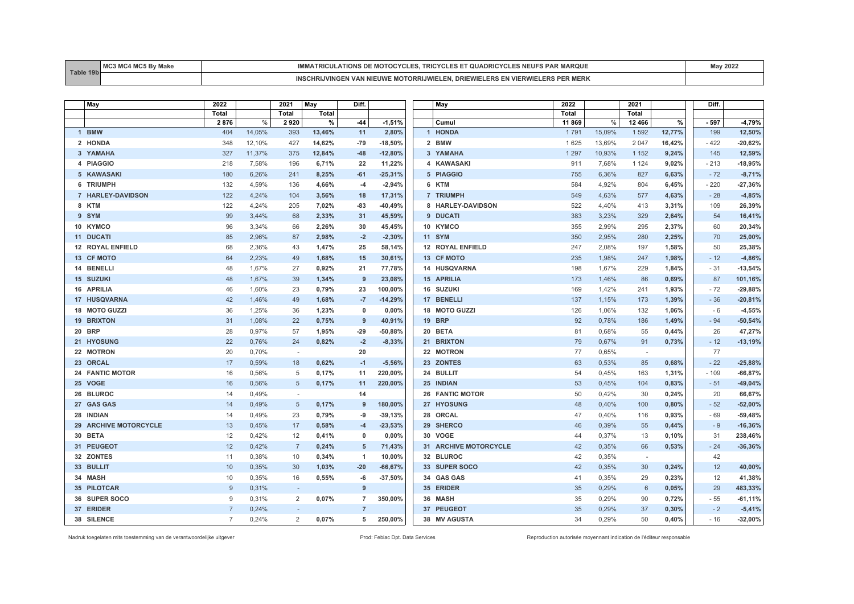| T <sub>0</sub> | $-0.0 - 1$<br>AA | <b>AR MARQUE</b><br>ES NEUFS<br>.<br>MOTOC<br><b>AIRINSDE</b><br>ו וכונגו<br>. ۲ ۱. ۱ | 202 |
|----------------|------------------|---------------------------------------------------------------------------------------|-----|
|                |                  | <b>MERK</b><br>. DRI<br><b>MOTORRIJW</b><br>INGEN<br>⊏uvv<br>האי                      |     |

| May                    | 2022           |        | 2021                     | May          |                |           | May                    | 2022    |        | 2021    |        | Diff.  |           |
|------------------------|----------------|--------|--------------------------|--------------|----------------|-----------|------------------------|---------|--------|---------|--------|--------|-----------|
|                        | Total          |        | Total                    | <b>Total</b> |                |           |                        | Total   |        | Total   |        |        |           |
|                        | 2876           | %      | 2920                     | $\%$         | -44            | $-1,51%$  | Cumul                  | 11869   | %      | 12 4 66 | %      | - 597  | $-4,79%$  |
| 1 BMW                  | 404            | 14,05% | 393                      | 13,46%       | 11             | 2,80%     | 1 HONDA                | 1791    | 15,09% | 1 5 9 2 | 12,77% | 199    | 12,50%    |
| 2 HONDA                | 348            | 12,10% | 427                      | 14,62%       | $-79$          | $-18,50%$ | 2 BMW                  | 1625    | 13,69% | 2 0 4 7 | 16,42% | $-422$ | $-20,62%$ |
| 3 YAMAHA               | 327            | 11,37% | 375                      | 12,84%       | $-48$          | $-12,80%$ | 3 YAMAHA               | 1 2 9 7 | 10,93% | 1 1 5 2 | 9,24%  | 145    | 12,59%    |
| 4 PIAGGIO              | 218            | 7,58%  | 196                      | 6,71%        | 22             | 11,22%    | 4 KAWASAKI             | 911     | 7,68%  | 1 1 2 4 | 9,02%  | $-213$ | $-18,95%$ |
| 5 KAWASAKI             | 180            | 6,26%  | 241                      | 8,25%        | $-61$          | $-25,31%$ | 5 PIAGGIO              | 755     | 6,36%  | 827     | 6,63%  | $-72$  | $-8,71%$  |
| 6 TRIUMPH              | 132            | 4,59%  | 136                      | 4,66%        | $-4$           | $-2,94%$  | 6 KTM                  | 584     | 4,92%  | 804     | 6,45%  | $-220$ | $-27,36%$ |
| 7 HARLEY-DAVIDSON      | 122            | 4,24%  | 104                      | 3,56%        | 18             | 17,31%    | 7 TRIUMPH              | 549     | 4,63%  | 577     | 4,63%  | $-28$  | $-4,85%$  |
| 8 KTM                  | 122            | 4,24%  | 205                      | 7,02%        | $-83$          | $-40,49%$ | 8 HARLEY-DAVIDSON      | 522     | 4,40%  | 413     | 3,31%  | 109    | 26,39%    |
| 9 SYM                  | 99             | 3,44%  | 68                       | 2,33%        | 31             | 45,59%    | 9 DUCATI               | 383     | 3,23%  | 329     | 2,64%  | 54     | 16,41%    |
| 10 KYMCO               | 96             | 3,34%  | 66                       | 2,26%        | 30             | 45,45%    | 10 KYMCO               | 355     | 2,99%  | 295     | 2,37%  | 60     | 20,34%    |
| 11 DUCATI              | 85             | 2.96%  | 87                       | 2,98%        | $-2$           | $-2,30%$  | 11 SYM                 | 350     | 2,95%  | 280     | 2,25%  | 70     | 25,00%    |
| 12 ROYAL ENFIELD       | 68             | 2,36%  | 43                       | 1,47%        | 25             | 58,14%    | 12 ROYAL ENFIELD       | 247     | 2,08%  | 197     | 1,58%  | 50     | 25,38%    |
| 13 CF MOTO             | 64             | 2,23%  | 49                       | 1,68%        | 15             | 30,61%    | 13 CF MOTO             | 235     | 1,98%  | 247     | 1,98%  | $-12$  | $-4,86%$  |
| 14 BENELLI             | 48             | 1,67%  | 27                       | 0,92%        | 21             | 77,78%    | 14 HUSQVARNA           | 198     | 1,67%  | 229     | 1,84%  | $-31$  | $-13,54%$ |
| 15 SUZUKI              | 48             | 1,67%  | 39                       | 1,34%        | 9              | 23,08%    | <b>15 APRILIA</b>      | 173     | 1,46%  | 86      | 0,69%  | 87     | 101,16%   |
| <b>16 APRILIA</b>      | 46             | 1,60%  | 23                       | 0,79%        | 23             | 100,00%   | 16 SUZUKI              | 169     | 1,42%  | 241     | 1,93%  | $-72$  | $-29,88%$ |
| 17 HUSQVARNA           | 42             | 1,46%  | 49                       | 1,68%        | $-7$           | $-14,29%$ | 17 BENELLI             | 137     | 1,15%  | 173     | 1,39%  | $-36$  | $-20,81%$ |
| 18 MOTO GUZZI          | 36             | 1,25%  | 36                       | 1,23%        | $\mathbf{0}$   | 0,00%     | 18 MOTO GUZZI          | 126     | 1,06%  | 132     | 1,06%  | - 6    | $-4,55%$  |
| <b>19 BRIXTON</b>      | 31             | 1,08%  | 22                       | 0,75%        | 9              | 40,91%    | <b>19 BRP</b>          | 92      | 0,78%  | 186     | 1,49%  | $-94$  | $-50,54%$ |
| <b>20 BRP</b>          | 28             | 0,97%  | 57                       | 1,95%        | $-29$          | $-50,88%$ | 20 BETA                | 81      | 0,68%  | 55      | 0,44%  | 26     | 47,27%    |
| 21 HYOSUNG             | 22             | 0.76%  | 24                       | 0.82%        | $-2$           | $-8,33%$  | 21 BRIXTON             | 79      | 0.67%  | 91      | 0,73%  | $-12$  | $-13,19%$ |
| 22 MOTRON              | 20             | 0,70%  | $\sim$                   |              | 20             |           | 22 MOTRON              | 77      | 0,65%  | $\sim$  |        | 77     |           |
| 23 ORCAL               | 17             | 0,59%  | 18                       | 0,62%        | $-1$           | $-5,56%$  | 23 ZONTES              | 63      | 0,53%  | 85      | 0,68%  | $-22$  | $-25,88%$ |
| <b>24 FANTIC MOTOR</b> | 16             | 0,56%  | 5                        | 0,17%        | 11             | 220,00%   | 24 BULLIT              | 54      | 0,45%  | 163     | 1,31%  | $-109$ | $-66,87%$ |
| 25 VOGE                | 16             | 0,56%  | 5                        | 0,17%        | 11             | 220,00%   | 25 INDIAN              | 53      | 0,45%  | 104     | 0,83%  | $-51$  | $-49,04%$ |
| 26 BLUROC              | 14             | 0,49%  | $\overline{\phantom{a}}$ |              | 14             |           | <b>26 FANTIC MOTOR</b> | 50      | 0,42%  | 30      | 0,24%  | 20     | 66,67%    |
| 27 GAS GAS             | 14             | 0,49%  | 5                        | 0,17%        | 9              | 180,00%   | 27 HYOSUNG             | 48      | 0,40%  | 100     | 0,80%  | $-52$  | $-52,00%$ |
| 28 INDIAN              | 14             | 0,49%  | 23                       | 0,79%        | -9             | $-39,13%$ | 28 ORCAL               | 47      | 0,40%  | 116     | 0,93%  | $-69$  | $-59,48%$ |
| 29 ARCHIVE MOTORCYCLE  | 13             | 0,45%  | 17                       | 0,58%        | $-4$           | $-23,53%$ | 29 SHERCO              | 46      | 0,39%  | 55      | 0,44%  | $-9$   | $-16,36%$ |
| 30 BETA                | 12             | 0,42%  | 12                       | 0,41%        | $\mathbf{0}$   | 0,00%     | 30 VOGE                | 44      | 0,37%  | 13      | 0,10%  | 31     | 238,46%   |
| 31 PEUGEOT             | 12             | 0,42%  | $\overline{7}$           | 0,24%        | $5\phantom{1}$ | 71,43%    | 31 ARCHIVE MOTORCYCLE  | 42      | 0,35%  | 66      | 0,53%  | $-24$  | $-36,36%$ |
| 32 ZONTES              | 11             | 0,38%  | 10                       | 0,34%        | $\overline{1}$ | 10,00%    | 32 BLUROC              | 42      | 0,35%  | $\sim$  |        | 42     |           |
| 33 BULLIT              | 10             | 0.35%  | 30                       | 1,03%        | $-20$          | $-66,67%$ | 33 SUPER SOCO          | 42      | 0,35%  | 30      | 0,24%  | 12     | 40,00%    |
| 34 MASH                | 10             | 0,35%  | 16                       | 0,55%        | -6             | $-37,50%$ | 34 GAS GAS             | 41      | 0,35%  | 29      | 0,23%  | 12     | 41,38%    |
| 35 PILOTCAR            | 9              | 0,31%  | $\sim$                   |              | 9              |           | 35 ERIDER              | 35      | 0,29%  | 6       | 0,05%  | 29     | 483,33%   |
| 36 SUPER SOCO          | 9              | 0,31%  | 2                        | 0,07%        | $\overline{7}$ | 350,00%   | 36 MASH                | 35      | 0,29%  | 90      | 0,72%  | $-55$  | $-61,11%$ |
| 37 ERIDER              | $\overline{7}$ | 0,24%  |                          |              | $\overline{7}$ |           | 37 PEUGEOT             | 35      | 0,29%  | 37      | 0,30%  | $-2$   | $-5,41%$  |
| 38 SILENCE             | $\overline{7}$ | 0.24%  | 2                        | 0,07%        | 5              | 250,00%   | 38 MV AGUSTA           | 34      | 0.29%  | 50      | 0,40%  | $-16$  | $-32,00%$ |

Nadruk toegelaten mits toestemming van de verantwoordelijke uitgever entered enter enter enter a metaleur enter autorisée Prod: Febiac Dpt. Data Services Reproduction autorisée moyennant indication de l'éditeur responsable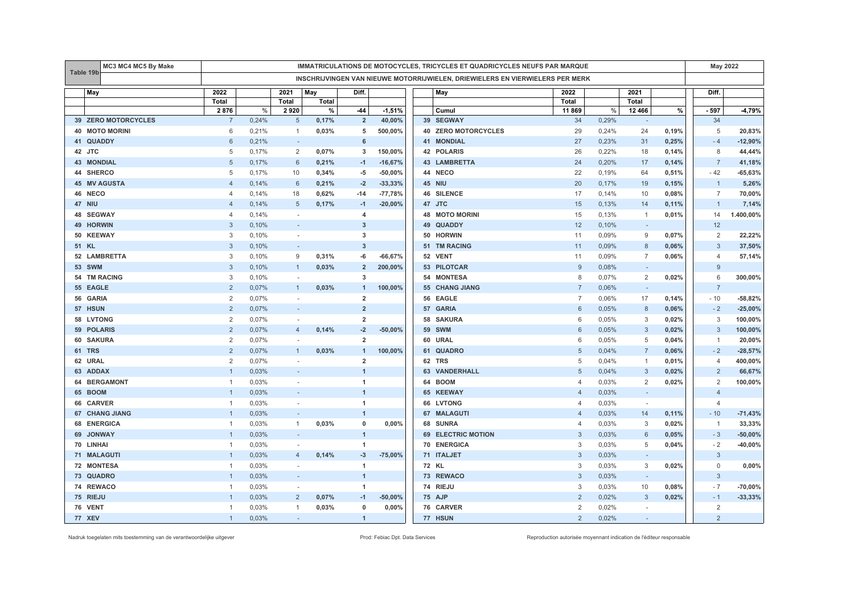| Table 19b         | MC3 MC4 MC5 By Make<br>IMMATRICULATIONS DE MOTOCYCLES, TRICYCLES ET QUADRICYCLES NEUFS PAR MARQUE |                |       |                          |       |                         |           |                                                                               |                | May 2022 |                          |       |                |           |
|-------------------|---------------------------------------------------------------------------------------------------|----------------|-------|--------------------------|-------|-------------------------|-----------|-------------------------------------------------------------------------------|----------------|----------|--------------------------|-------|----------------|-----------|
|                   |                                                                                                   |                |       |                          |       |                         |           | INSCHRIJVINGEN VAN NIEUWE MOTORRIJWIELEN, DRIEWIELERS EN VIERWIELERS PER MERK |                |          |                          |       |                |           |
| May               |                                                                                                   | 2022           |       | 2021                     | May   | Diff.                   |           | May                                                                           | 2022           |          | 2021                     |       | Diff.          |           |
|                   |                                                                                                   | Total          |       | Total                    | Total |                         |           |                                                                               | <b>Total</b>   |          | Total                    |       |                |           |
|                   |                                                                                                   | 2876           | $\%$  | 2920                     | %     | $-44$                   | $-1,51%$  | Cumul                                                                         | 11 869         | %        | 12 4 66                  | $\%$  | - 597          | $-4,79%$  |
|                   | 39 ZERO MOTORCYCLES                                                                               | $\overline{7}$ | 0,24% | $\sqrt{5}$               | 0,17% | $\overline{2}$          | 40,00%    | 39 SEGWAY                                                                     | 34             | 0,29%    |                          |       | 34             |           |
|                   | <b>40 MOTO MORINI</b>                                                                             | 6              | 0,21% | $\overline{1}$           | 0,03% | 5                       | 500,00%   | 40 ZERO MOTORCYCLES                                                           | 29             | 0,24%    | 24                       | 0,19% | 5              | 20,83%    |
| 41                | <b>QUADDY</b>                                                                                     | 6              | 0,21% | $\omega$                 |       | 6                       |           | <b>41 MONDIAL</b>                                                             | 27             | 0,23%    | 31                       | 0.25% | $-4$           | $-12,90%$ |
| <b>JTC</b><br>42  |                                                                                                   | 5              | 0,17% | 2                        | 0,07% | 3                       | 150,00%   | <b>42 POLARIS</b>                                                             | 26             | 0,22%    | 18                       | 0,14% | 8              | 44,44%    |
| <b>43 MONDIAL</b> |                                                                                                   | 5              | 0,17% | 6                        | 0,21% | $-1$                    | $-16,67%$ | <b>43 LAMBRETTA</b>                                                           | 24             | 0,20%    | 17                       | 0,14% | $\overline{7}$ | 41,18%    |
| 44 SHERCO         |                                                                                                   | 5              | 0,17% | 10                       | 0,34% | -5                      | $-50,00%$ | 44 NECO                                                                       | 22             | 0,19%    | 64                       | 0,51% | $-42$          | $-65,63%$ |
|                   | <b>45 MV AGUSTA</b>                                                                               | $\overline{4}$ | 0,14% | 6                        | 0,21% | $-2$                    | $-33,33%$ | <b>45 NIU</b>                                                                 | 20             | 0,17%    | 19                       | 0,15% | $\overline{1}$ | 5,26%     |
| 46 NECO           |                                                                                                   | $\overline{4}$ | 0,14% | 18                       | 0,62% | $-14$                   | $-77,78%$ | <b>46 SILENCE</b>                                                             | 17             | 0.14%    | 10                       | 0,08% | $\overline{7}$ | 70,00%    |
| <b>47 NIU</b>     |                                                                                                   | $\Delta$       | 0,14% | 5                        | 0,17% | $-1$                    | $-20,00%$ | 47 JTC                                                                        | 15             | 0,13%    | 14                       | 0,11% | $\overline{1}$ | 7,14%     |
| 48                | <b>SEGWAY</b>                                                                                     | $\overline{4}$ | 0,14% | $\sim$                   |       | $\overline{4}$          |           | <b>48 MOTO MORINI</b>                                                         | 15             | 0,13%    | $\mathbf{1}$             | 0,01% | 14             | 1.400,00% |
| 49                | <b>HORWIN</b>                                                                                     | $\mathcal{R}$  | 0,10% |                          |       | $\mathbf{3}$            |           | 49 QUADDY                                                                     | 12             | 0,10%    | $\sim$                   |       | 12             |           |
| 50                | <b>KEEWAY</b>                                                                                     | 3              | 0,10% | $\sim$                   |       | 3                       |           | 50 HORWIN                                                                     | 11             | 0,09%    | 9                        | 0,07% | $\overline{2}$ | 22,22%    |
| 51 KL             |                                                                                                   | 3              | 0,10% | $\sim$                   |       | $\mathbf{3}$            |           | 51 TM RACING                                                                  | 11             | 0,09%    | $8\phantom{1}$           | 0,06% | 3              | 37,50%    |
|                   | 52 LAMBRETTA                                                                                      | 3              | 0,10% | 9                        | 0,31% | -6                      | $-66,67%$ | 52 VENT                                                                       | 11             | 0,09%    | $\overline{7}$           | 0,06% | $\overline{4}$ | 57,14%    |
| <b>53 SWM</b>     |                                                                                                   | 3              | 0,10% | $\mathbf{1}$             | 0,03% | $\overline{2}$          | 200,00%   | 53 PILOTCAR                                                                   | 9              | 0,08%    | $\sim$                   |       | 9              |           |
|                   | 54 TM RACING                                                                                      | 3              | 0,10% | $\sim$                   |       | 3                       |           | 54 MONTESA                                                                    | 8              | 0,07%    | 2                        | 0,02% | 6              | 300,00%   |
| 55                | <b>EAGLE</b>                                                                                      | 2              | 0,07% | $\mathbf{1}$             | 0,03% | $\mathbf{1}$            | 100,00%   | 55 CHANG JIANG                                                                | $\overline{7}$ | 0,06%    | $\sim$                   |       | $\overline{7}$ |           |
| 56 GARIA          |                                                                                                   | 2              | 0,07% | $\sim$                   |       | $\overline{\mathbf{2}}$ |           | 56 EAGLE                                                                      | $\overline{7}$ | 0,06%    | 17                       | 0,14% | $-10$          | $-58,82%$ |
| 57 HSUN           |                                                                                                   | 2              | 0,07% | $\overline{\phantom{a}}$ |       | $\overline{2}$          |           | 57 GARIA                                                                      | 6              | 0,05%    | 8                        | 0,06% | $-2$           | $-25,00%$ |
| 58                | <b>LVTONG</b>                                                                                     | 2              | 0,07% | $\overline{\phantom{a}}$ |       | $\overline{2}$          |           | 58 SAKURA                                                                     | 6              | 0,05%    | 3                        | 0,02% | 3              | 100,00%   |
| 59 POLARIS        |                                                                                                   | $\mathcal{P}$  | 0,07% | $\overline{4}$           | 0,14% | $-2$                    | $-50,00%$ | <b>59 SWM</b>                                                                 | 6              | 0,05%    | 3                        | 0,02% | 3              | 100,00%   |
| 60                | <b>SAKURA</b>                                                                                     | 2              | 0,07% |                          |       | $\overline{2}$          |           | 60 URAL                                                                       | 6              | 0,05%    | 5                        | 0,04% | $\overline{1}$ | 20,00%    |
| <b>TRS</b><br>61  |                                                                                                   | $\overline{2}$ | 0,07% | $\mathbf{1}$             | 0,03% | $\mathbf{1}$            | 100,00%   | 61 QUADRO                                                                     | 5              | 0,04%    | $\overline{7}$           | 0,06% | $-2$           | $-28,57%$ |
| 62 URAL           |                                                                                                   | 2              | 0,07% | $\sim$                   |       | $\overline{2}$          |           | 62 TRS                                                                        | 5              | 0,04%    | $\mathbf{1}$             | 0,01% | $\overline{4}$ | 400,00%   |
| 63 ADDAX          |                                                                                                   |                | 0,03% | $\sim$                   |       | $\overline{1}$          |           | <b>63 VANDERHALL</b>                                                          | 5              | 0,04%    | 3                        | 0,02% | $\overline{2}$ | 66,67%    |
| 64                | <b>BERGAMONT</b>                                                                                  | $\overline{1}$ | 0,03% |                          |       | $\mathbf{1}$            |           | 64 BOOM                                                                       | 4              | 0,03%    | 2                        | 0,02% | 2              | 100,00%   |
| 65 BOOM           |                                                                                                   |                | 0,03% |                          |       | $\overline{1}$          |           | 65 KEEWAY                                                                     | $\overline{4}$ | 0,03%    | $\overline{\phantom{a}}$ |       | $\overline{4}$ |           |
| 66                | <b>CARVER</b>                                                                                     |                | 0,03% | $\sim$                   |       | 1                       |           | 66 LVTONG                                                                     | $\overline{4}$ | 0,03%    | $\sim$                   |       | $\overline{4}$ |           |
| 67                | <b>CHANG JIANG</b>                                                                                |                | 0,03% | $\overline{\phantom{a}}$ |       | $\overline{1}$          |           | 67 MALAGUTI                                                                   | $\overline{4}$ | 0,03%    | 14                       | 0,11% | $-10$          | $-71,43%$ |
| 68                | <b>ENERGICA</b>                                                                                   | -1             | 0,03% | $\mathbf{1}$             | 0,03% | 0                       | 0,00%     | 68 SUNRA                                                                      | $\overline{4}$ | 0,03%    | 3                        | 0,02% | $\overline{1}$ | 33,33%    |
| 69                | <b>JONWAY</b>                                                                                     |                | 0,03% | $\sim$                   |       | $\overline{1}$          |           | <b>69 ELECTRIC MOTION</b>                                                     | 3              | 0,03%    | 6                        | 0,05% | $-3$           | $-50,00%$ |
| 70 LINHAI         |                                                                                                   | -1             | 0,03% | $\sim$                   |       | 1                       |           | 70 ENERGICA                                                                   | 3              | 0,03%    | 5                        | 0,04% | $-2$           | $-40,00%$ |
|                   | 71 MALAGUTI                                                                                       |                | 0,03% | $\overline{4}$           | 0,14% | $-3$                    | $-75,00%$ | 71 ITALJET                                                                    | 3              | 0,03%    | $\sim$                   |       | $\mathbf{3}$   |           |
|                   | 72 MONTESA                                                                                        |                | 0,03% | $\sim$                   |       | 1                       |           | 72 KL                                                                         | 3              | 0,03%    | 3                        | 0,02% | $\mathbf 0$    | 0,00%     |
| 73 QUADRO         |                                                                                                   |                | 0,03% | $\overline{\phantom{a}}$ |       | $\overline{1}$          |           | 73 REWACO                                                                     | 3              | 0,03%    | $\overline{\phantom{a}}$ |       | 3              |           |
| 74 REWACO         |                                                                                                   | $\overline{1}$ | 0,03% | ÷.                       |       | $\mathbf{1}$            |           | 74 RIEJU                                                                      | 3              | 0,03%    | 10                       | 0,08% | $-7$           | $-70,00%$ |
| 75 RIEJU          |                                                                                                   |                | 0,03% | 2                        | 0,07% | $-1$                    | $-50,00%$ | 75 AJP                                                                        | $\overline{2}$ | 0,02%    | 3                        | 0,02% | $-1$           | $-33,33%$ |
| 76 VENT           |                                                                                                   | -1             | 0,03% | $\mathbf{1}$             | 0,03% | 0                       | 0,00%     | 76 CARVER                                                                     | $\overline{2}$ | 0,02%    | $\sim$                   |       | $\overline{2}$ |           |
| <b>77 XEV</b>     |                                                                                                   | $\mathbf{1}$   | 0,03% | $\sim$                   |       | $\mathbf{1}$            |           | 77 HSUN                                                                       | $\overline{2}$ | 0,02%    | $\sim$                   |       | $\overline{2}$ |           |

Nadruk toegelaten mits toestemming van de verantwoordelijke uitgever entered enter enter enter a metaleur enter autorisée Prod: Febiac Dpt. Data Services Reproduction autorisée moyennant indication de l'éditeur responsable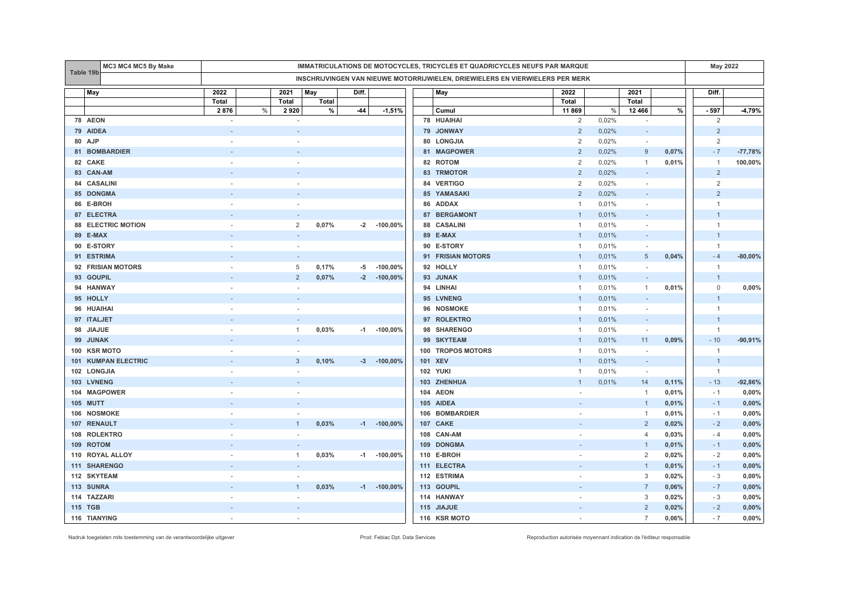|                 | MC3 MC4 MC5 By Make       | IMMATRICULATIONS DE MOTOCYCLES, TRICYCLES ET QUADRICYCLES NEUFS PAR MARQUE |                          |       |       |                  |     |                                                                               |                |       |                          |       | <b>May 2022</b> |           |
|-----------------|---------------------------|----------------------------------------------------------------------------|--------------------------|-------|-------|------------------|-----|-------------------------------------------------------------------------------|----------------|-------|--------------------------|-------|-----------------|-----------|
| Table 19b       |                           |                                                                            |                          |       |       |                  |     | INSCHRIJVINGEN VAN NIEUWE MOTORRIJWIELEN, DRIEWIELERS EN VIERWIELERS PER MERK |                |       |                          |       |                 |           |
| May             |                           | 2022                                                                       | 2021                     | May   | Diff. |                  | May |                                                                               | 2022           | 2021  |                          |       | Diff.           |           |
|                 |                           | Total                                                                      | Total                    | Total |       |                  |     |                                                                               | Total          |       | <b>Total</b>             |       |                 |           |
|                 |                           | 2876                                                                       | $\%$<br>2920             | $\%$  | -44   | $-1,51%$         |     | Cumul                                                                         | 11 869         | $\%$  | 12 4 66                  | $\%$  | - 597           | $-4,79%$  |
| 78 AEON         |                           | ä,                                                                         |                          |       |       |                  |     | <b>78 HUAIHAI</b>                                                             | 2              | 0,02% | $\sim$                   |       | 2               |           |
| 79 AIDEA        |                           |                                                                            |                          |       |       |                  |     | 79 JONWAY                                                                     | $\overline{2}$ | 0,02% | $\overline{\phantom{a}}$ |       | $\overline{2}$  |           |
| 80 AJP          |                           |                                                                            |                          |       |       |                  |     | 80 LONGJIA                                                                    | $\overline{2}$ | 0,02% | $\sim$                   |       | $\overline{2}$  |           |
| 81              | <b>BOMBARDIER</b>         |                                                                            |                          |       |       |                  |     | 81 MAGPOWER                                                                   | $\overline{2}$ | 0,02% | 9                        | 0,07% | $-7$            | $-77,78%$ |
| 82 CAKE         |                           |                                                                            |                          |       |       |                  |     | 82 ROTOM                                                                      | $\overline{2}$ | 0,02% | $\mathbf{1}$             | 0,01% | $\overline{1}$  | 100,00%   |
| 83 CAN-AM       |                           |                                                                            |                          |       |       |                  |     | 83 TRMOTOR                                                                    | $\overline{2}$ | 0,02% | $\sim$                   |       | $\overline{2}$  |           |
| 84 CASALINI     |                           |                                                                            |                          |       |       |                  |     | 84 VERTIGO                                                                    | 2              | 0,02% | $\sim$                   |       | $\overline{2}$  |           |
| 85 DONGMA       |                           |                                                                            |                          |       |       |                  |     | <b>85 YAMASAKI</b>                                                            | $\overline{2}$ | 0,02% |                          |       | $\overline{2}$  |           |
| 86 E-BROH       |                           |                                                                            |                          |       |       |                  |     | 86 ADDAX                                                                      | $\mathbf{1}$   | 0,01% | $\sim$                   |       | $\mathbf{1}$    |           |
| 87 ELECTRA      |                           |                                                                            |                          |       |       |                  |     | 87 BERGAMONT                                                                  | $\mathbf{1}$   | 0,01% | $\overline{\phantom{a}}$ |       | $\overline{1}$  |           |
|                 | <b>88 ELECTRIC MOTION</b> |                                                                            | $\overline{2}$           | 0,07% | $-2$  | $-100,00\%$      |     | 88 CASALINI                                                                   | $\mathbf{1}$   | 0,01% |                          |       | $\overline{1}$  |           |
| 89 E-MAX        |                           |                                                                            |                          |       |       |                  |     | 89 E-MAX                                                                      | $\mathbf{1}$   | 0,01% | $\overline{\phantom{a}}$ |       | $\overline{1}$  |           |
| 90 E-STORY      |                           |                                                                            |                          |       |       |                  |     | 90 E-STORY                                                                    | $\mathbf{1}$   | 0,01% | $\sim$                   |       | $\overline{1}$  |           |
| 91 ESTRIMA      |                           |                                                                            |                          |       |       |                  |     | 91 FRISIAN MOTORS                                                             | $\overline{1}$ | 0,01% | 5                        | 0,04% | $-4$            | $-80,00%$ |
|                 | 92 FRISIAN MOTORS         |                                                                            | 5                        | 0,17% | -5    | $-100,00%$       |     | 92 HOLLY                                                                      | $\mathbf{1}$   | 0,01% | $\sim$                   |       | $\overline{1}$  |           |
| 93 GOUPIL       |                           |                                                                            | $\overline{2}$           | 0,07% | $-2$  | $-100,00%$       |     | 93 JUNAK                                                                      | $\mathbf{1}$   | 0,01% | $\sim$                   |       | $\overline{1}$  |           |
| 94 HANWAY       |                           |                                                                            |                          |       |       |                  |     | 94 LINHAI                                                                     | $\overline{1}$ | 0,01% | $\mathbf{1}$             | 0,01% | $\mathbf 0$     | 0,00%     |
| 95 HOLLY        |                           |                                                                            |                          |       |       |                  |     | 95 LVNENG                                                                     | $\mathbf{1}$   | 0,01% | $\overline{\phantom{a}}$ |       | 1               |           |
| 96 HUAIHAI      |                           |                                                                            |                          |       |       |                  |     | 96 NOSMOKE                                                                    | $\mathbf{1}$   | 0,01% | ÷.                       |       | $\overline{1}$  |           |
| 97 ITALJET      |                           |                                                                            |                          |       |       |                  |     | 97 ROLEKTRO                                                                   | $\mathbf{1}$   | 0,01% | $\sim$                   |       | $\overline{1}$  |           |
| 98 JIAJUE       |                           |                                                                            | $\mathbf{1}$             | 0,03% |       | $-1$ $-100,00\%$ |     | 98 SHARENGO                                                                   | $\mathbf{1}$   | 0,01% | $\sim$                   |       | $\overline{1}$  |           |
| 99 JUNAK        |                           |                                                                            |                          |       |       |                  |     | 99 SKYTEAM                                                                    | $\mathbf{1}$   | 0,01% | 11                       | 0,09% | $-10$           | $-90,91%$ |
| 100 KSR MOTO    |                           |                                                                            |                          |       |       |                  |     | 100 TROPOS MOTORS                                                             | $\overline{1}$ | 0,01% | $\sim$                   |       | $\overline{1}$  |           |
|                 | 101 KUMPAN ELECTRIC       |                                                                            | 3                        | 0,10% |       | $-3 - 100,00\%$  |     | 101 XEV                                                                       | $\overline{1}$ | 0,01% | $\overline{\phantom{a}}$ |       | $\overline{1}$  |           |
| 102 LONGJIA     |                           |                                                                            |                          |       |       |                  |     | <b>102 YUKI</b>                                                               | $\overline{1}$ | 0,01% | $\sim$                   |       | $\overline{1}$  |           |
| 103 LVNENG      |                           |                                                                            |                          |       |       |                  |     | 103 ZHENHUA                                                                   | $\overline{1}$ | 0,01% | 14                       | 0,11% | $-13$           | $-92,86%$ |
| 104 MAGPOWER    |                           |                                                                            |                          |       |       |                  |     | 104 AEON                                                                      |                |       | $\mathbf{1}$             | 0,01% | $-1$            | 0,00%     |
| <b>105 MUTT</b> |                           |                                                                            |                          |       |       |                  |     | 105 AIDEA                                                                     |                |       | $\mathbf{1}$             | 0,01% | $-1$            | 0,00%     |
| 106 NOSMOKE     |                           |                                                                            |                          |       |       |                  |     | 106 BOMBARDIER                                                                |                |       | $\mathbf{1}$             | 0,01% | $-1$            | 0,00%     |
| 107 RENAULT     |                           |                                                                            | $\mathbf{1}$             | 0,03% |       | $-1$ $-100,00\%$ |     | 107 CAKE                                                                      |                |       | $\overline{2}$           | 0,02% | $-2$            | 0,00%     |
| 108 ROLEKTRO    |                           |                                                                            |                          |       |       |                  |     | 108 CAN-AM                                                                    |                |       | $\overline{4}$           | 0,03% | $-4$            | 0,00%     |
| 109 ROTOM       |                           |                                                                            |                          |       |       |                  |     | 109 DONGMA                                                                    |                |       | $\mathbf{1}$             | 0,01% | $-1$            | 0,00%     |
|                 | 110 ROYAL ALLOY           |                                                                            | $\mathbf{1}$             | 0,03% |       | $-1$ $-100,00\%$ |     | 110 E-BROH                                                                    |                |       | 2                        | 0,02% | $-2$            | 0,00%     |
| 111 SHARENGO    |                           |                                                                            | $\sim$                   |       |       |                  |     | 111 ELECTRA                                                                   |                |       | $\mathbf{1}$             | 0,01% | $-1$            | 0,00%     |
| 112 SKYTEAM     |                           |                                                                            | $\overline{\phantom{a}}$ |       |       |                  |     | 112 ESTRIMA                                                                   |                |       | 3                        | 0,02% | $-3$            | 0,00%     |
| 113 SUNRA       |                           |                                                                            | $\mathbf{1}$             | 0,03% |       | $-1$ $-100,00\%$ |     | 113 GOUPIL                                                                    |                |       | $\overline{7}$           | 0,06% | $-7$            | 0,00%     |
| 114 TAZZARI     |                           |                                                                            |                          |       |       |                  |     | 114 HANWAY                                                                    |                |       | 3                        | 0,02% | $-3$            | 0,00%     |
| 115 TGB         |                           |                                                                            | $\sim$                   |       |       |                  |     | 115 JIAJUE                                                                    |                |       | $\overline{2}$           | 0,02% | $-2$            | 0,00%     |
| 116 TIANYING    |                           |                                                                            | $\sim$                   |       |       |                  |     | 116 KSR MOTO                                                                  |                |       | $\overline{7}$           | 0,06% | $-7$            | 0,00%     |

Nadruk toegelaten mits toestemming van de verantwoordelijke uitgever entered enter enter enter a metaleur enter autorisée Prod: Febiac Dpt. Data Services Reproduction autorisée moyennant indication de l'éditeur responsable